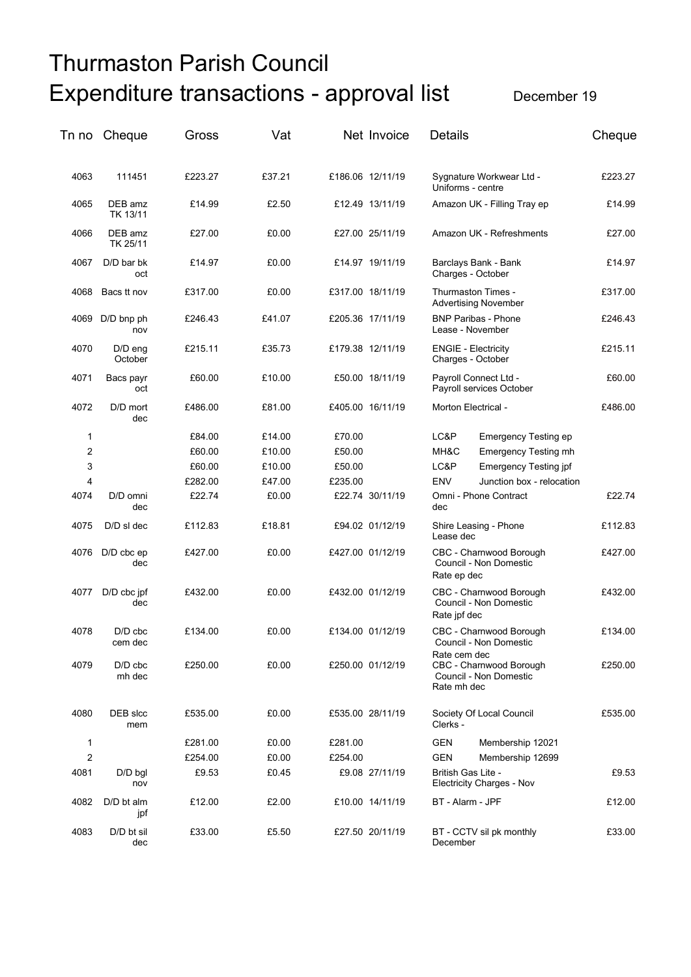## Thurmaston Parish Council Expenditure transactions - approval list December 19

| Tn no          | Cheque               | Gross   | Vat    |         | Net Invoice      | <b>Details</b>                                                                   | Cheque  |
|----------------|----------------------|---------|--------|---------|------------------|----------------------------------------------------------------------------------|---------|
| 4063           | 111451               | £223.27 | £37.21 |         | £186.06 12/11/19 | Sygnature Workwear Ltd -<br>Uniforms - centre                                    | £223.27 |
| 4065           | DEB amz<br>TK 13/11  | £14.99  | £2.50  |         | £12.49 13/11/19  | Amazon UK - Filling Tray ep                                                      | £14.99  |
| 4066           | DEB amz<br>TK 25/11  | £27.00  | £0.00  |         | £27.00 25/11/19  | Amazon UK - Refreshments                                                         | £27.00  |
| 4067           | $D/D$ bar bk<br>oct  | £14.97  | £0.00  |         | £14.97 19/11/19  | Barclays Bank - Bank<br>Charges - October                                        | £14.97  |
| 4068           | Bacs tt nov          | £317.00 | £0.00  |         | £317.00 18/11/19 | Thurmaston Times -<br><b>Advertising November</b>                                | £317.00 |
| 4069           | D/D bnp ph<br>nov    | £246.43 | £41.07 |         | £205.36 17/11/19 | <b>BNP Paribas - Phone</b><br>Lease - November                                   | £246.43 |
| 4070           | $D/D$ eng<br>October | £215.11 | £35.73 |         | £179.38 12/11/19 | <b>ENGIE - Electricity</b><br>Charges - October                                  | £215.11 |
| 4071           | Bacs payr<br>oct     | £60.00  | £10.00 |         | £50.00 18/11/19  | Payroll Connect Ltd -<br>Payroll services October                                | £60.00  |
| 4072           | D/D mort<br>dec      | £486.00 | £81.00 |         | £405.00 16/11/19 | Morton Electrical -                                                              | £486.00 |
| 1              |                      | £84.00  | £14.00 | £70.00  |                  | LC&P<br><b>Emergency Testing ep</b>                                              |         |
| $\overline{c}$ |                      | £60.00  | £10.00 | £50.00  |                  | MH&C<br><b>Emergency Testing mh</b>                                              |         |
| 3              |                      | £60.00  | £10.00 | £50.00  |                  | LC&P<br><b>Emergency Testing jpf</b>                                             |         |
| 4              |                      | £282.00 | £47.00 |         |                  | <b>ENV</b><br>Junction box - relocation                                          |         |
| 4074           | D/D omni             | £22.74  | £0.00  | £235.00 | £22.74 30/11/19  | Omni - Phone Contract                                                            | £22.74  |
|                | dec                  |         |        |         |                  | dec                                                                              |         |
| 4075           | D/D sl dec           | £112.83 | £18.81 |         | £94.02 01/12/19  | Shire Leasing - Phone<br>Lease dec                                               | £112.83 |
| 4076           | D/D cbc ep<br>dec    | £427.00 | £0.00  |         | £427.00 01/12/19 | CBC - Charnwood Borough<br>Council - Non Domestic<br>Rate ep dec                 | £427.00 |
| 4077           | D/D cbc jpf<br>dec   | £432.00 | £0.00  |         | £432.00 01/12/19 | CBC - Charnwood Borough<br>Council - Non Domestic<br>Rate jpf dec                | £432.00 |
| 4078           | $D/D$ cbc<br>cem dec | £134.00 | £0.00  |         | £134.00 01/12/19 | CBC - Charnwood Borough<br>Council - Non Domestic                                | £134.00 |
| 4079           | $D/D$ cbc<br>mh dec  | £250.00 | £0.00  |         | £250.00 01/12/19 | Rate cem dec<br>CBC - Charnwood Borough<br>Council - Non Domestic<br>Rate mh dec | £250.00 |
| 4080           | DEB slcc<br>mem      | £535.00 | £0.00  |         | £535.00 28/11/19 | Society Of Local Council<br>Clerks -                                             | £535.00 |
| 1              |                      | £281.00 | £0.00  | £281.00 |                  | GEN<br>Membership 12021                                                          |         |
| $\overline{c}$ |                      | £254.00 | £0.00  | £254.00 |                  | GEN<br>Membership 12699                                                          |         |
| 4081           | $D/D$ bgl            | £9.53   | £0.45  |         | £9.08 27/11/19   | British Gas Lite -                                                               | £9.53   |
|                | nov                  |         |        |         |                  | Electricity Charges - Nov                                                        |         |
| 4082           | $D/D$ bt alm<br>jpf  | £12.00  | £2.00  |         | £10.00 14/11/19  | BT - Alarm - JPF                                                                 | £12.00  |
| 4083           | D/D bt sil<br>dec    | £33.00  | £5.50  |         | £27.50 20/11/19  | BT - CCTV sil pk monthly<br>December                                             | £33.00  |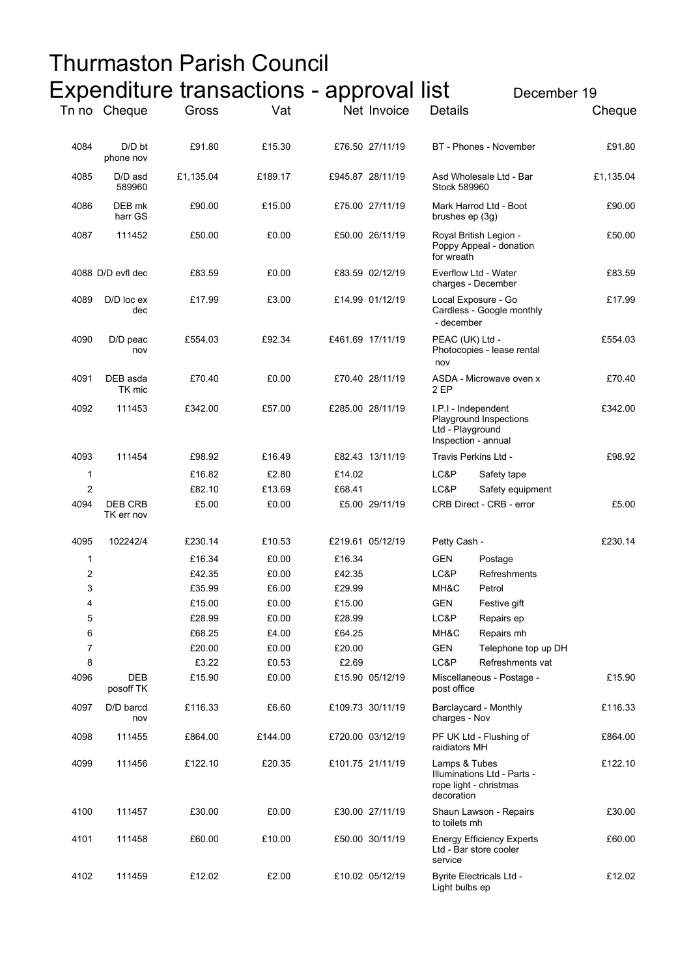|                  |                              |           | Thurmaston Parish Council                               |        |                  |                                                                                          |                     |           |
|------------------|------------------------------|-----------|---------------------------------------------------------|--------|------------------|------------------------------------------------------------------------------------------|---------------------|-----------|
|                  |                              |           | Expenditure transactions - approval list<br>December 19 |        |                  |                                                                                          |                     |           |
|                  | Tn no Cheque                 | Gross     | Vat                                                     |        | Net Invoice      | <b>Details</b>                                                                           |                     | Cheque    |
|                  |                              |           |                                                         |        |                  |                                                                                          |                     |           |
| 4084             | D/D bt<br>phone nov          | £91.80    | £15.30                                                  |        | £76.50 27/11/19  | BT - Phones - November                                                                   |                     | £91.80    |
| 4085             | D/D asd<br>589960            | £1,135.04 | £189.17                                                 |        | £945.87 28/11/19 | Asd Wholesale Ltd - Bar<br>Stock 589960                                                  |                     | £1,135.04 |
| 4086             | DEB mk<br>harr GS            | £90.00    | £15.00                                                  |        | £75.00 27/11/19  | Mark Harrod Ltd - Boot<br>brushes ep (3g)                                                |                     | £90.00    |
| 4087             | 111452                       | £50.00    | £0.00                                                   |        | £50.00 26/11/19  | Royal British Legion -<br>Poppy Appeal - donation<br>for wreath                          |                     | £50.00    |
|                  | 4088 D/D evfl dec            | £83.59    | £0.00                                                   |        | £83.59 02/12/19  | Everflow Ltd - Water<br>charges - December                                               |                     | £83.59    |
| 4089             | D/D loc ex<br>dec            | £17.99    | £3.00                                                   |        | £14.99 01/12/19  | Local Exposure - Go<br>Cardless - Google monthly<br>- december                           |                     | £17.99    |
| 4090             | $D/D$ peac<br>nov            | £554.03   | £92.34                                                  |        | £461.69 17/11/19 | PEAC (UK) Ltd -<br>Photocopies - lease rental<br>nov                                     |                     | £554.03   |
| 4091             | DEB asda<br>TK mic           | £70.40    | £0.00                                                   |        | £70.40 28/11/19  | ASDA - Microwave oven x<br>2 EP                                                          |                     | £70.40    |
| 4092             | 111453                       | £342.00   | £57.00                                                  |        | £285.00 28/11/19 | I.P.I - Independent<br>Playground Inspections<br>Ltd - Playground<br>Inspection - annual |                     | £342.00   |
| 4093             | 111454                       | £98.92    | £16.49                                                  |        | £82.43 13/11/19  | Travis Perkins Ltd -                                                                     |                     | £98.92    |
| 1                |                              | £16.82    | £2.80                                                   | £14.02 |                  | LC&P                                                                                     | Safety tape         |           |
| $\overline{2}$   |                              | £82.10    | £13.69                                                  | £68.41 |                  | LC&P                                                                                     | Safety equipment    |           |
| 4094             | <b>DEB CRB</b><br>TK err nov | £5.00     | £0.00                                                   |        | £5.00 29/11/19   | CRB Direct - CRB - error                                                                 |                     | £5.00     |
| 4095             | 102242/4                     | £230.14   | £10.53                                                  |        | £219.61 05/12/19 | Petty Cash -                                                                             |                     | £230.14   |
| 1                |                              | £16.34    | £0.00                                                   | £16.34 |                  | GEN<br>Postage                                                                           |                     |           |
| $\boldsymbol{2}$ |                              | £42.35    | £0.00                                                   | £42.35 |                  | LC&P                                                                                     | Refreshments        |           |
| 3                |                              | £35.99    | £6.00                                                   | £29.99 |                  | MH&C<br>Petrol                                                                           |                     |           |
| 4                |                              | £15.00    | £0.00                                                   | £15.00 |                  | <b>GEN</b>                                                                               | Festive gift        |           |
| 5                |                              | £28.99    | £0.00                                                   | £28.99 |                  | LC&P                                                                                     | Repairs ep          |           |
| 6                |                              | £68.25    | £4.00                                                   | £64.25 |                  | MH&C                                                                                     | Repairs mh          |           |
| 7                |                              | £20.00    | £0.00                                                   | £20.00 |                  | <b>GEN</b>                                                                               | Telephone top up DH |           |
| 8                |                              | £3.22     | £0.53                                                   | £2.69  |                  | LC&P                                                                                     | Refreshments vat    |           |
| 4096             | <b>DEB</b><br>posoff TK      | £15.90    | £0.00                                                   |        | £15.90 05/12/19  | Miscellaneous - Postage -<br>post office                                                 |                     | £15.90    |
| 4097             | D/D barcd<br>nov             | £116.33   | £6.60                                                   |        | £109.73 30/11/19 | Barclaycard - Monthly<br>charges - Nov                                                   |                     | £116.33   |
| 4098             | 111455                       | £864.00   | £144.00                                                 |        | £720.00 03/12/19 | PF UK Ltd - Flushing of<br>raidiators MH                                                 |                     | £864.00   |
| 4099             | 111456                       | £122.10   | £20.35                                                  |        | £101.75 21/11/19 | Lamps & Tubes<br>Illuminations Ltd - Parts -<br>rope light - christmas<br>decoration     |                     | £122.10   |
| 4100             | 111457                       | £30.00    | £0.00                                                   |        | £30.00 27/11/19  | Shaun Lawson - Repairs<br>to toilets mh                                                  |                     | £30.00    |
| 4101             | 111458                       | £60.00    | £10.00                                                  |        | £50.00 30/11/19  | <b>Energy Efficiency Experts</b><br>Ltd - Bar store cooler<br>service                    |                     | £60.00    |
| 4102             | 111459                       | £12.02    | £2.00                                                   |        | £10.02 05/12/19  | <b>Byrite Electricals Ltd -</b><br>Light bulbs ep                                        |                     | £12.02    |